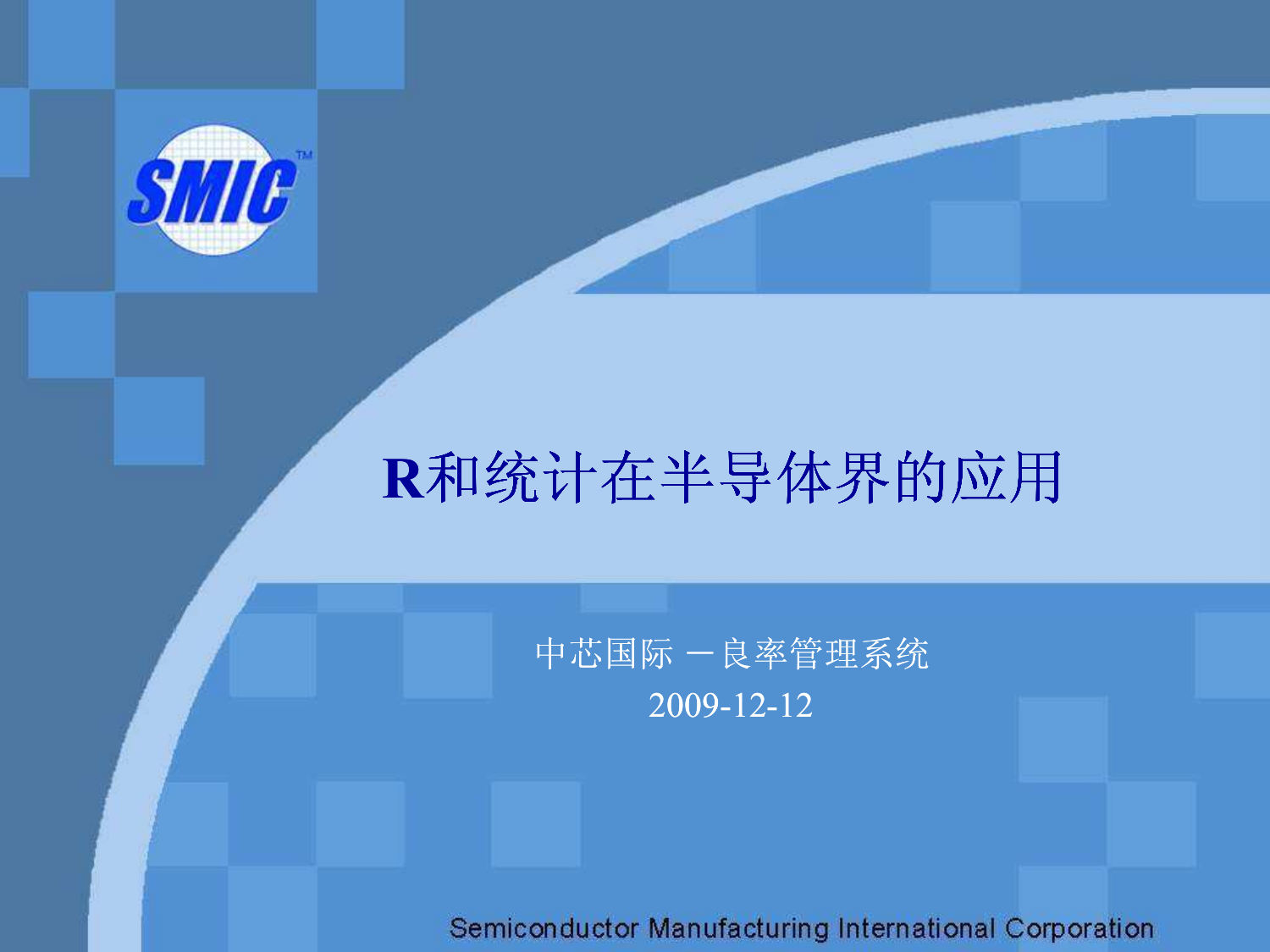

# R和统计在半导体界的应用

#### 中芯国际 一良率管理系统<br>2000.13.13 2009-12-12

Semiconductor Manufacturing International Corporation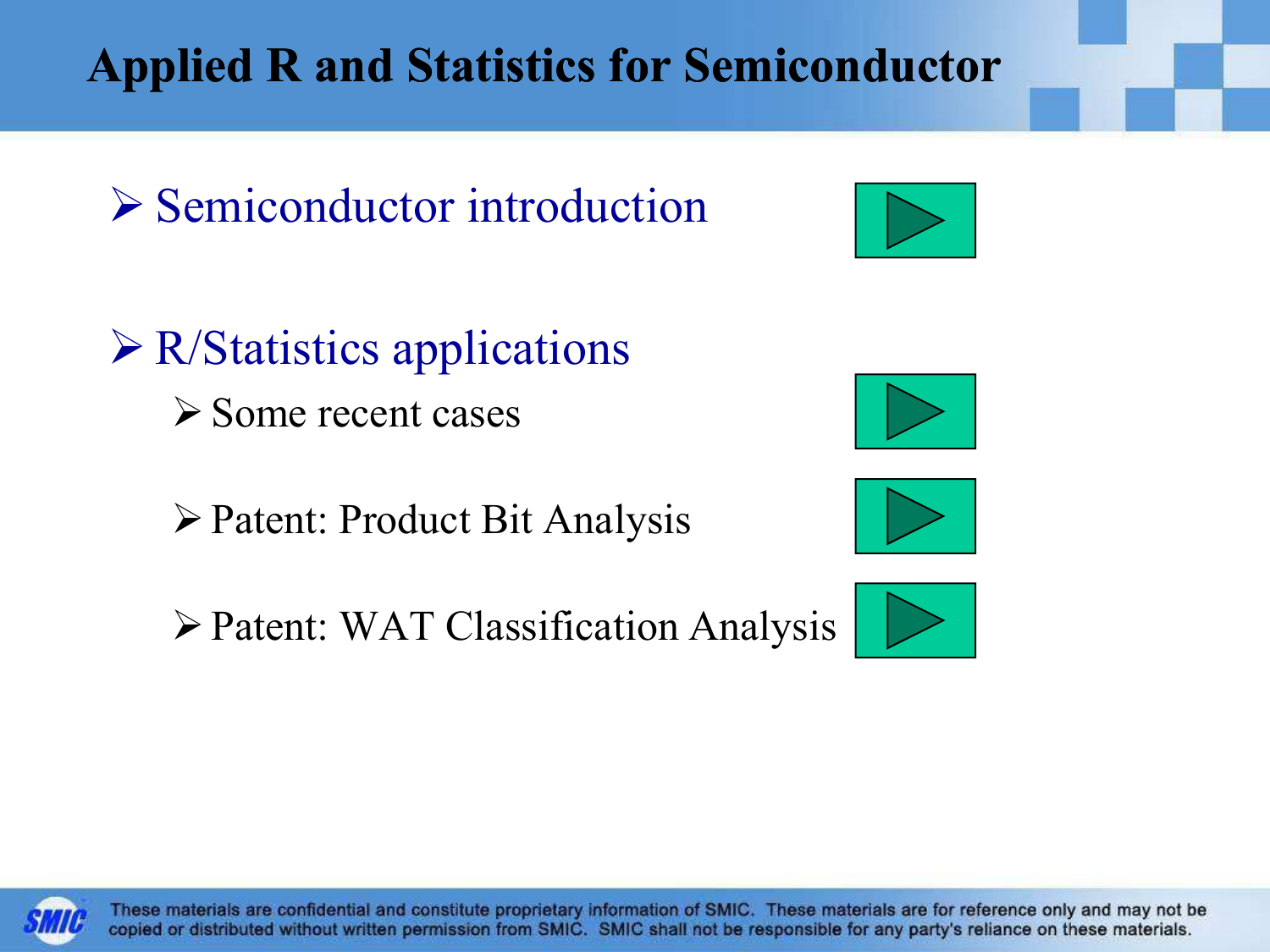These materials are confidential and constitute proprietary information of SMIC. These materials are for reference only and may not be copied or distributed without written permission from SMIC. SMIC shall not be responsible for any party's reliance on these materials.

#### Applied R and Statistics for Semiconductor

Semiconductor introduction

 $\triangleright$  R/Statistics applications  $\triangleright$  Some recent cases

Patent: Product Bit Analysis

Patent: WAT Classification Analysis







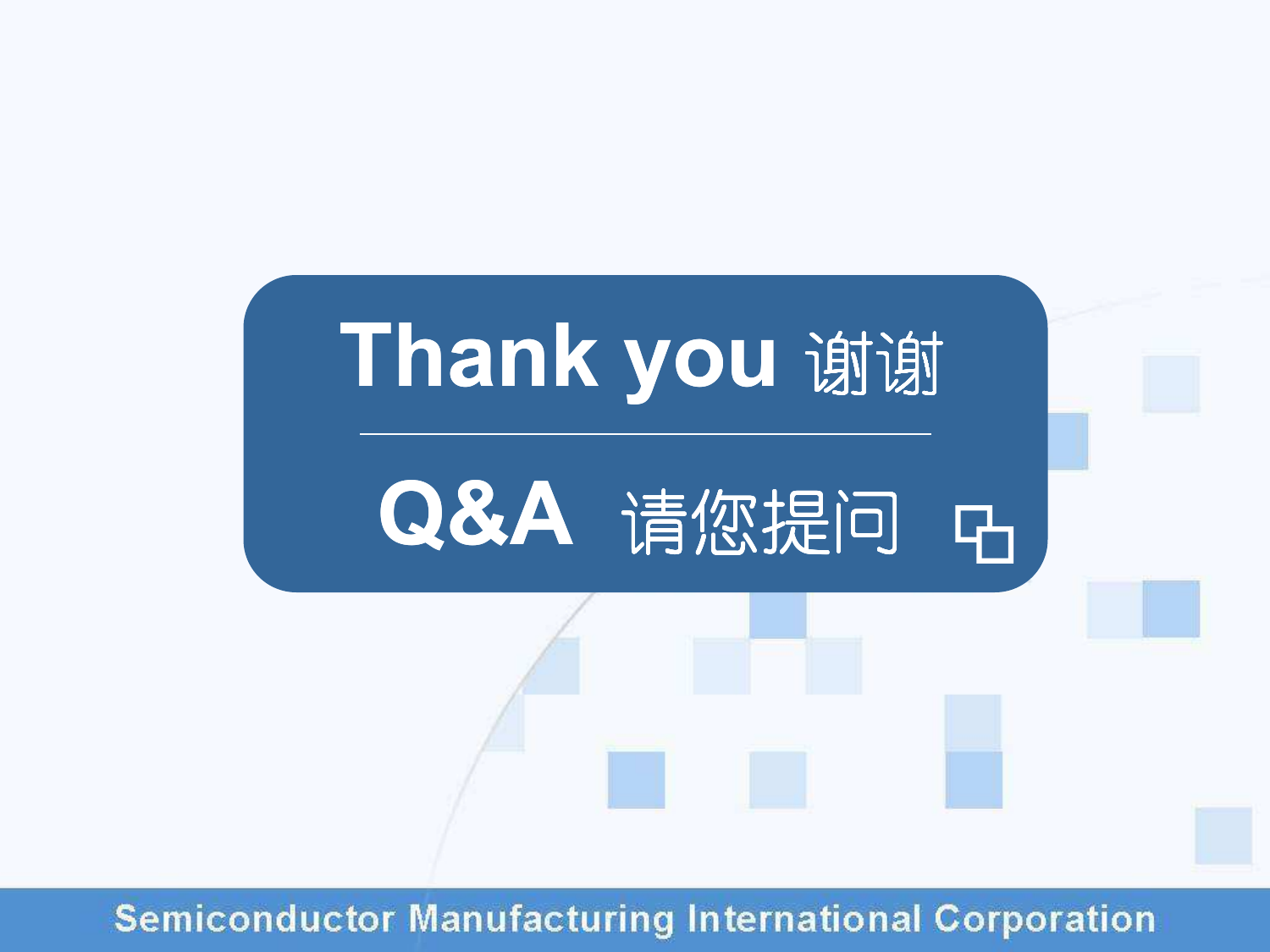

**Semiconductor Manufacturing International Corporation**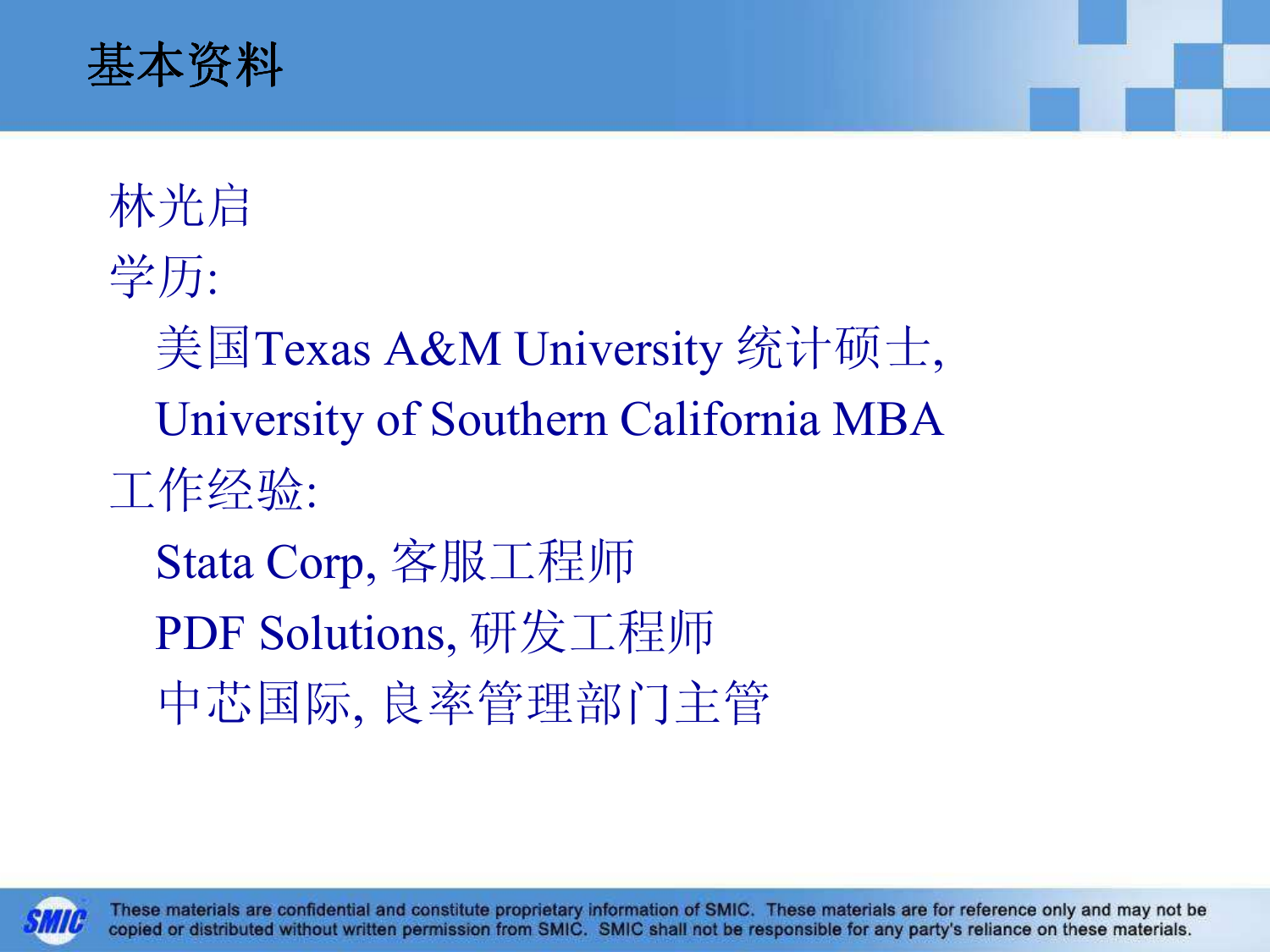

林光启学历:美国Texas A&M University 统计硕士,University of Southern California MBA工作经验:Stata Corp, 客服工程师PDF Solutions, 研发工程师中芯国际, 良率管理部门主管

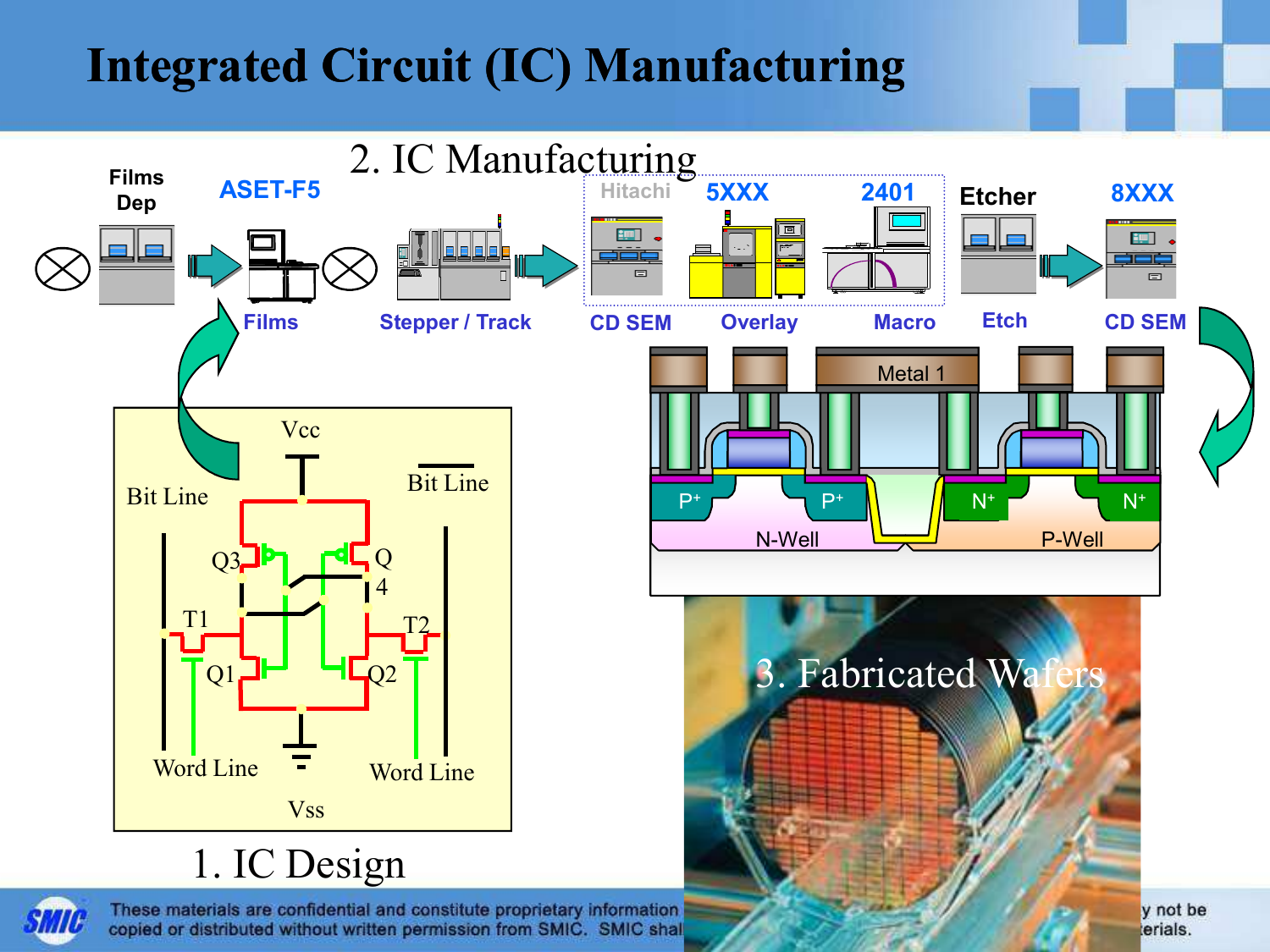## Integrated Circuit (IC) Manufacturing

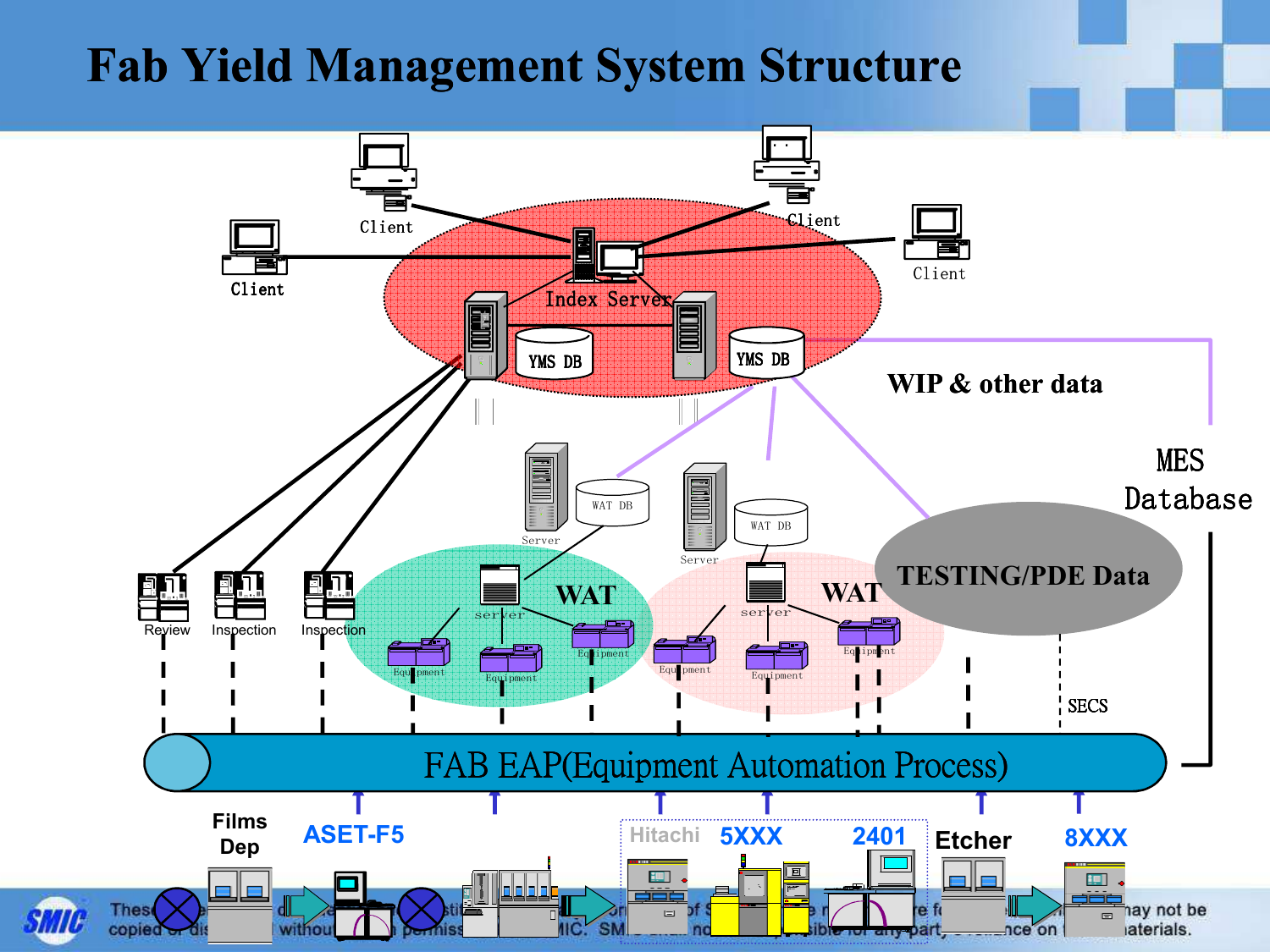#### Fab Yield Management System Structure

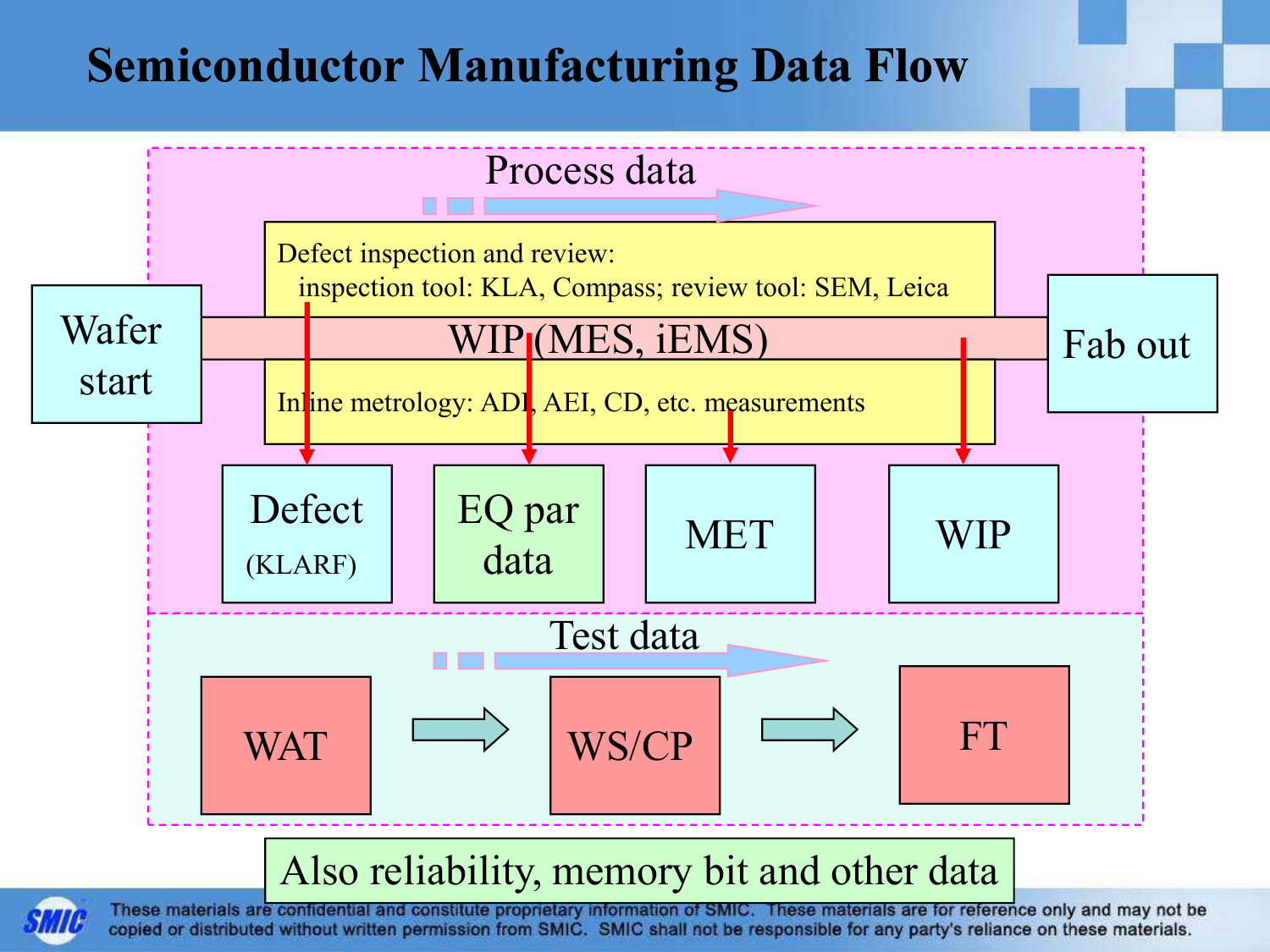#### Semiconductor Manufacturing Data Flow



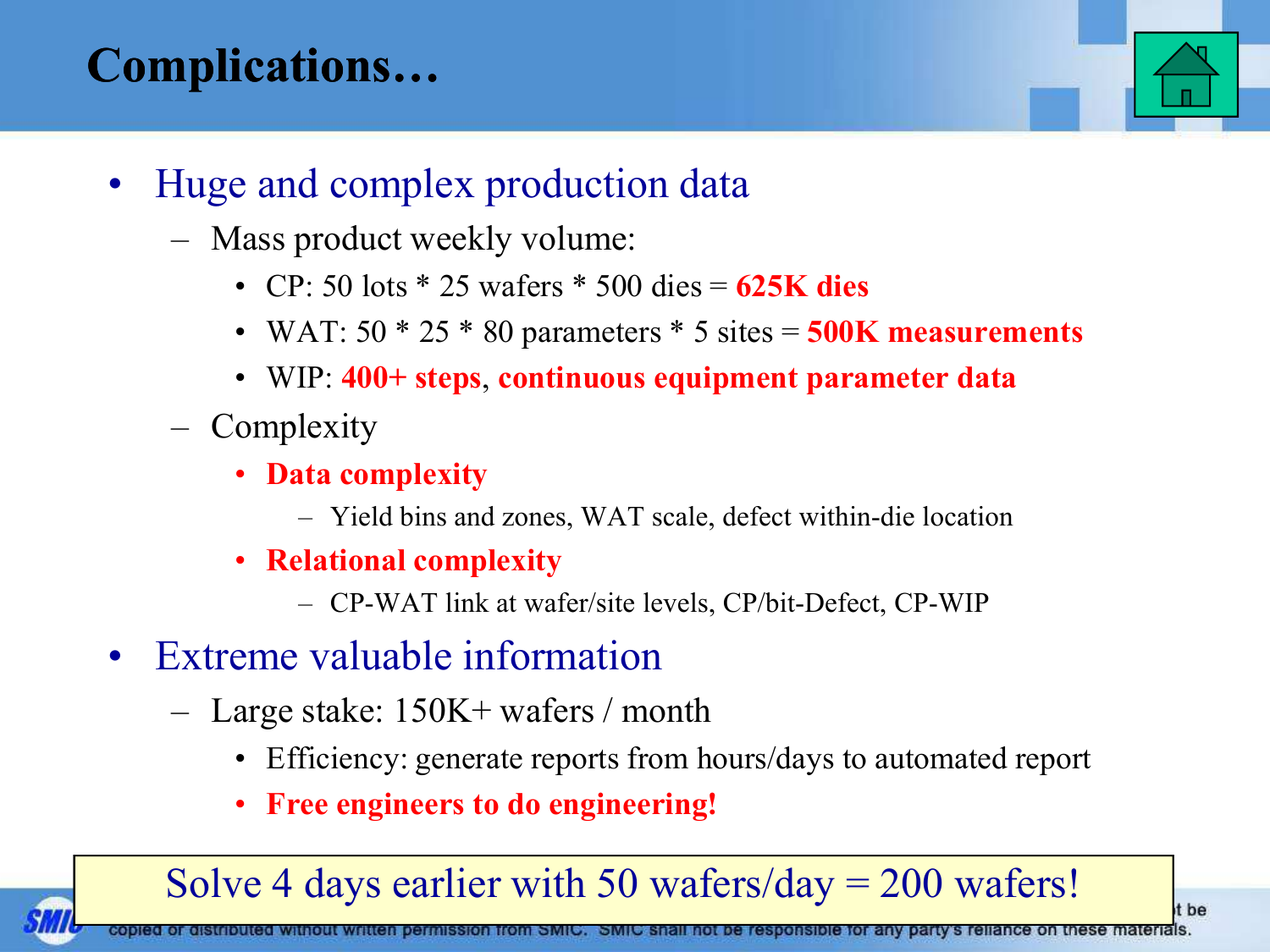### Complications…



t be

- $\bullet$  Huge and complex production data
	- Mass product weekly volume:
		- CP: 50 lots \* 25 wafers \* 500 dies = 625K dies
		- WAT:  $50 * 25 * 80$  parameters  $* 5$  sites  $= 500$ K measurements
		- WIP: 400+ steps, continuous equipment parameter data
	- **Complexity** 
		- Data complexity
			- Yield bins and zones, WAT scale, defect within-die location
		- • Relational complexity
			- CP-WAT link at wafer/site levels, CP/bit-Defect, CP-WIP
- • Extreme valuable information
	- Large stake: 150K+ wafers / month
		- Efficiency: generate reports from hours/days to automated report
		- •Free engineers to do engineering!

#### Solve 4 days earlier with 50 wafers/day = 200 wafers!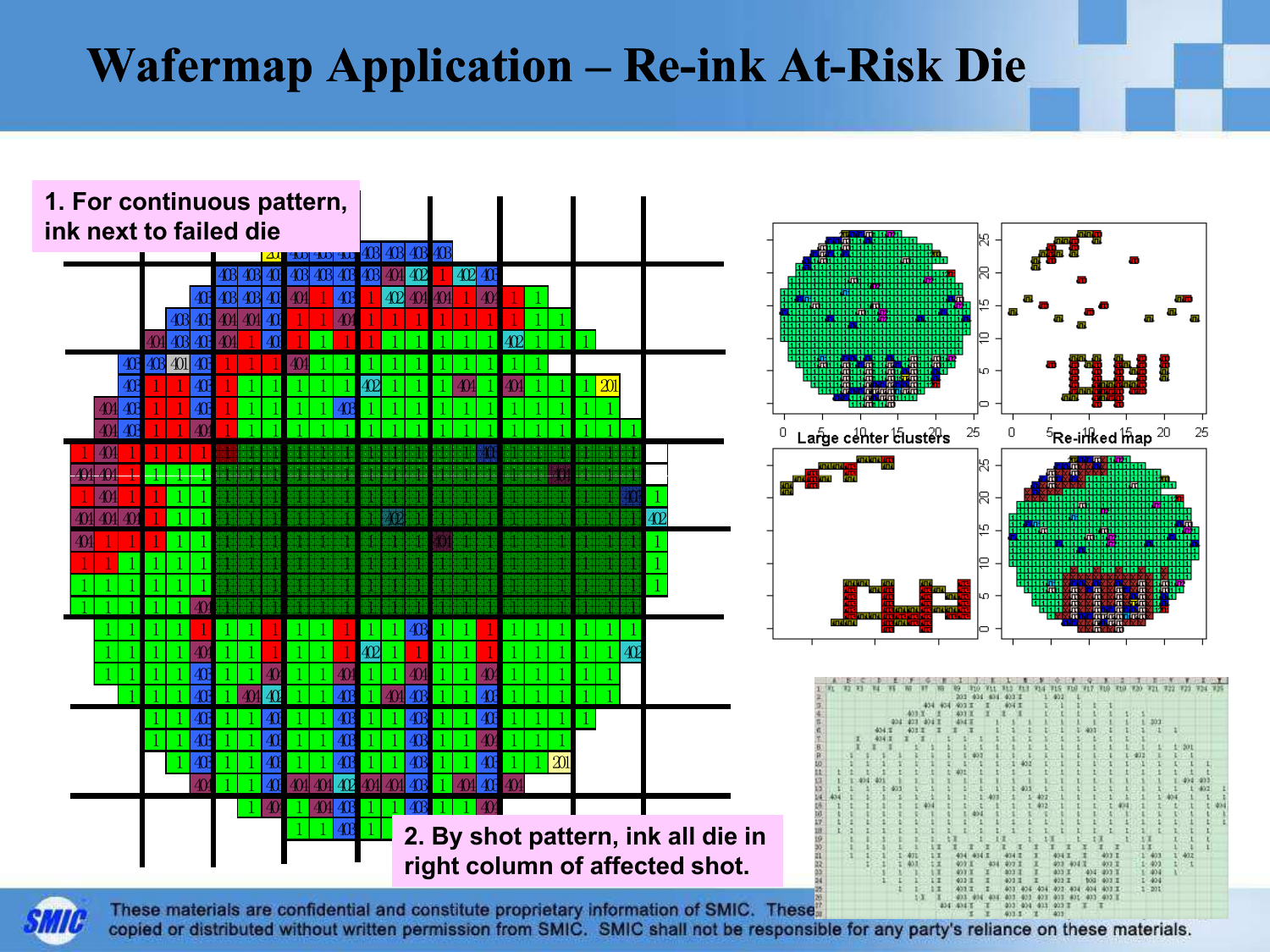### Wafermap Application – Re-ink At-Risk Die



These materials are confidential and constitute proprietary information of SMIC. These 413.3 copied or distributed without written permission from SMIC. SMIC shall not be responsible for any party's reliance on these materials.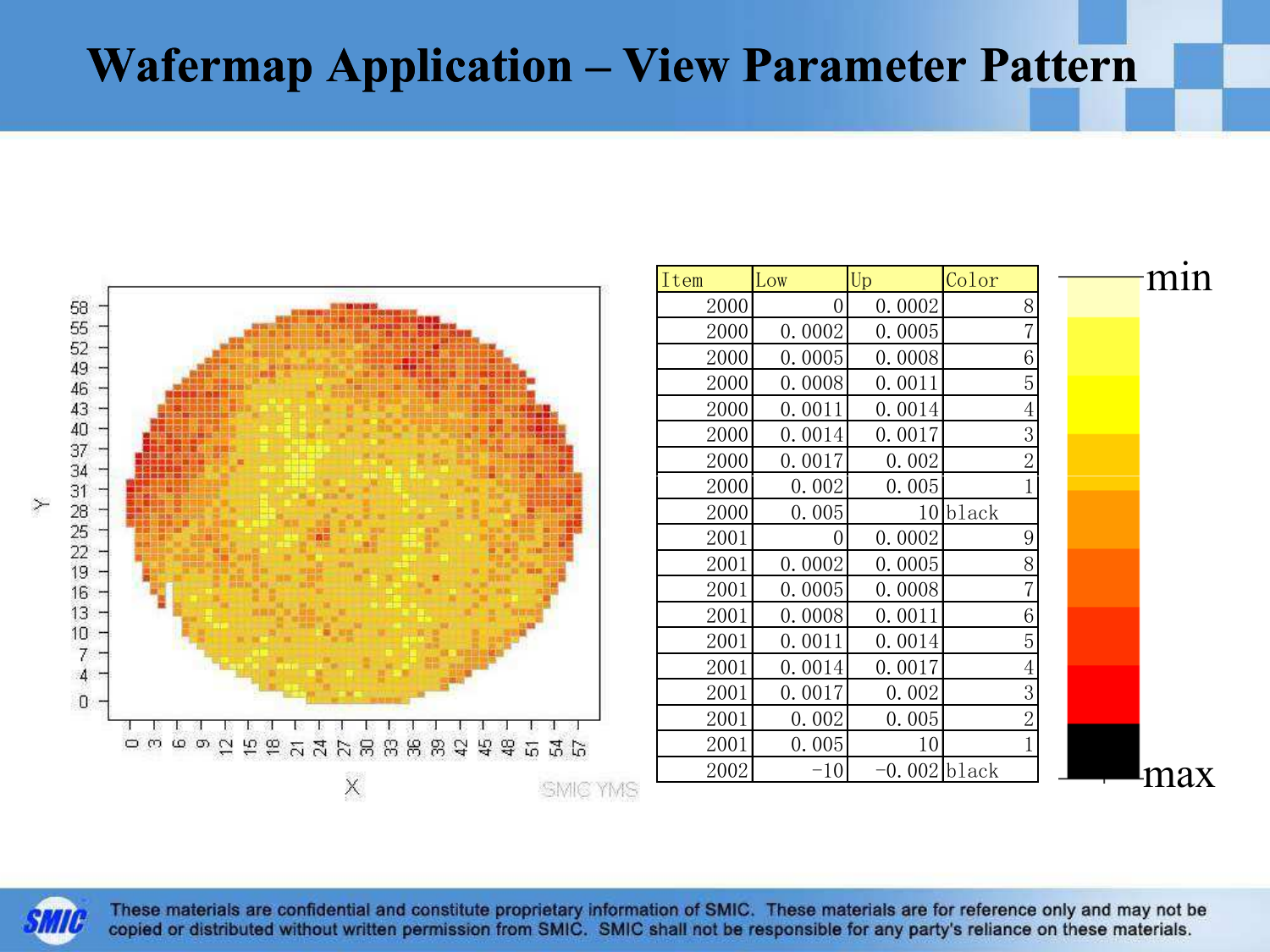#### Wafermap Application – View Parameter Pattern



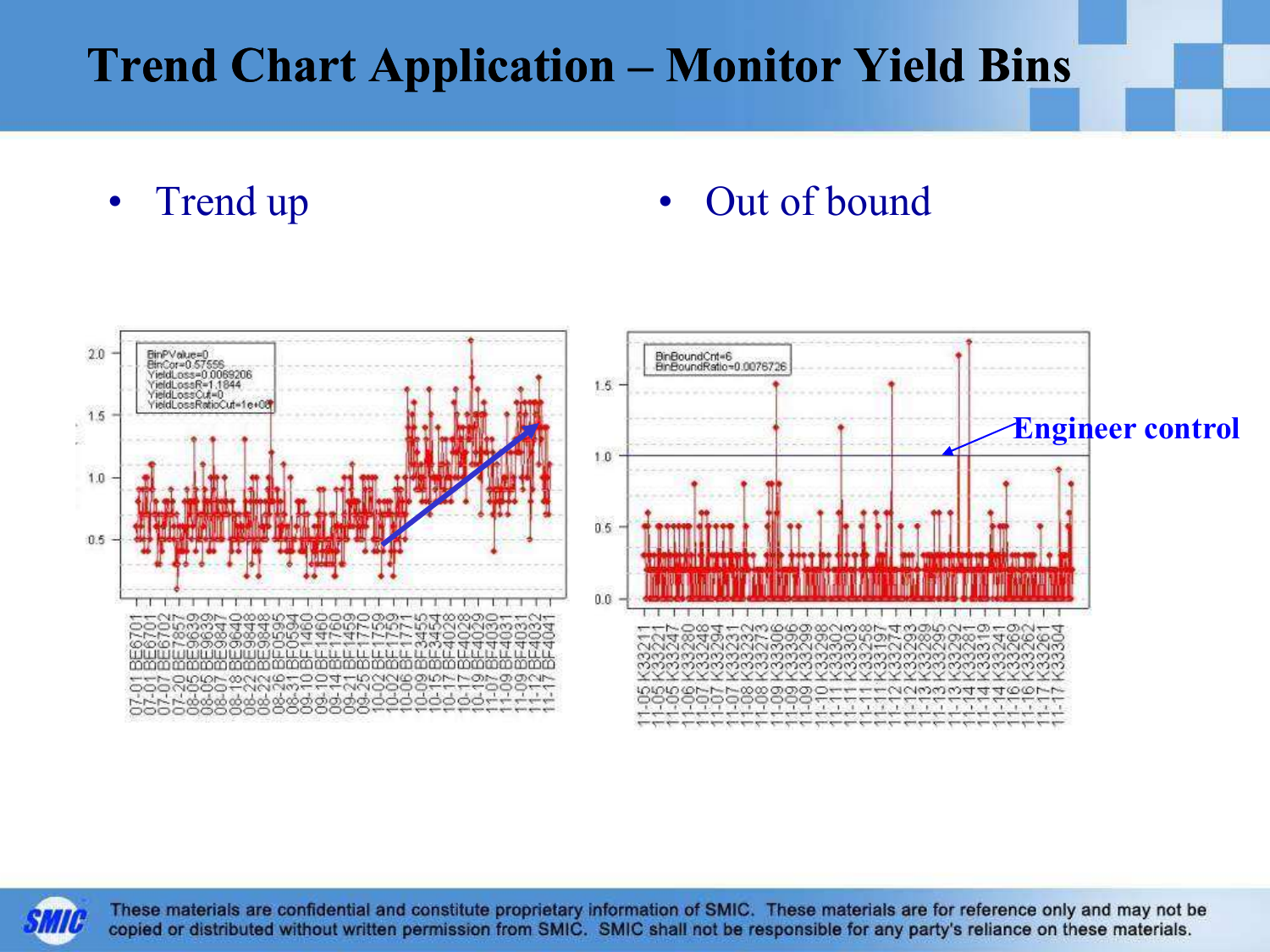#### Trend Chart Application – Monitor Yield Bins

 $\bullet$ 

#### Trend up **• Out of bound**



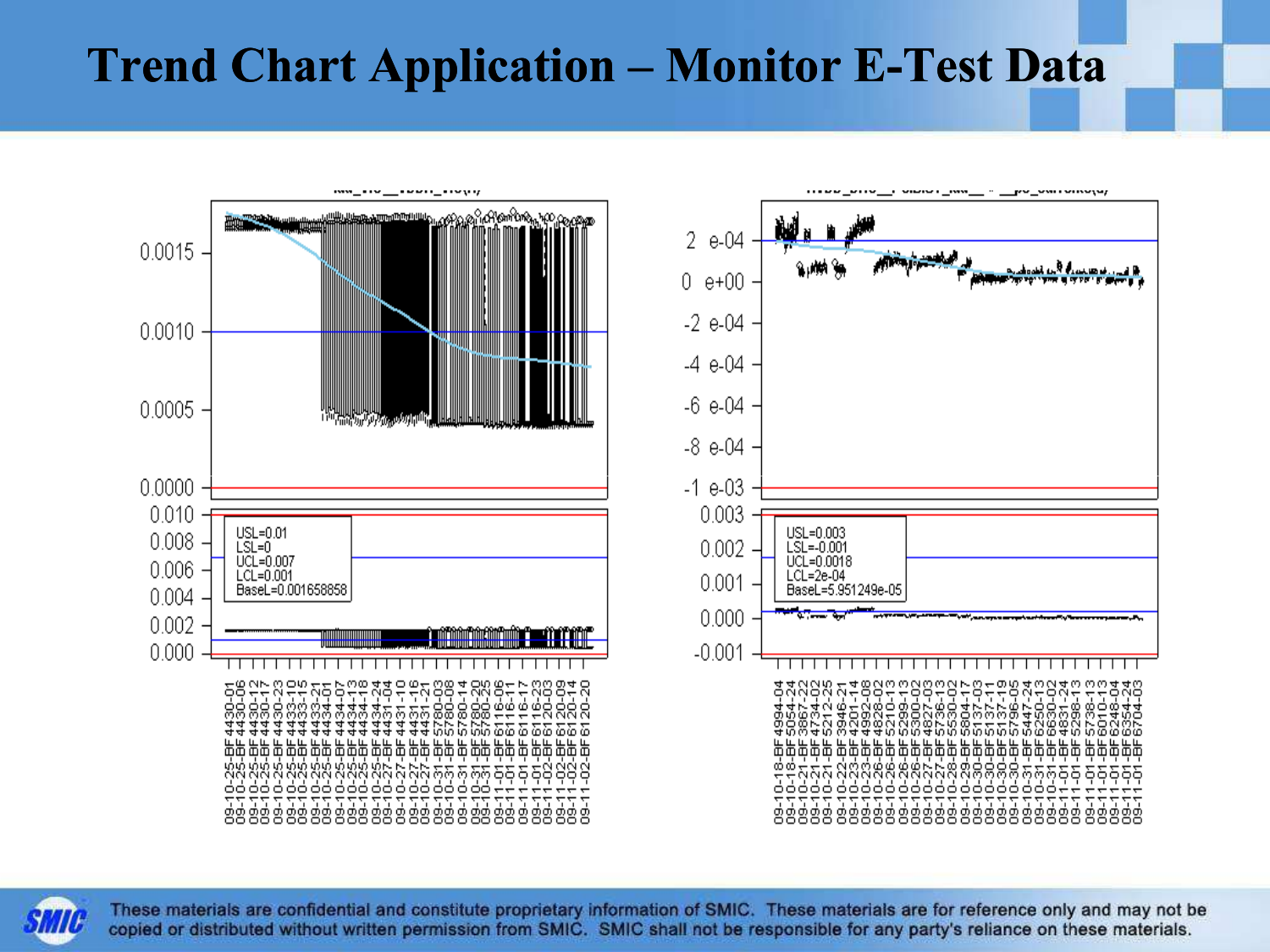#### Trend Chart Application – Monitor E-Test Data



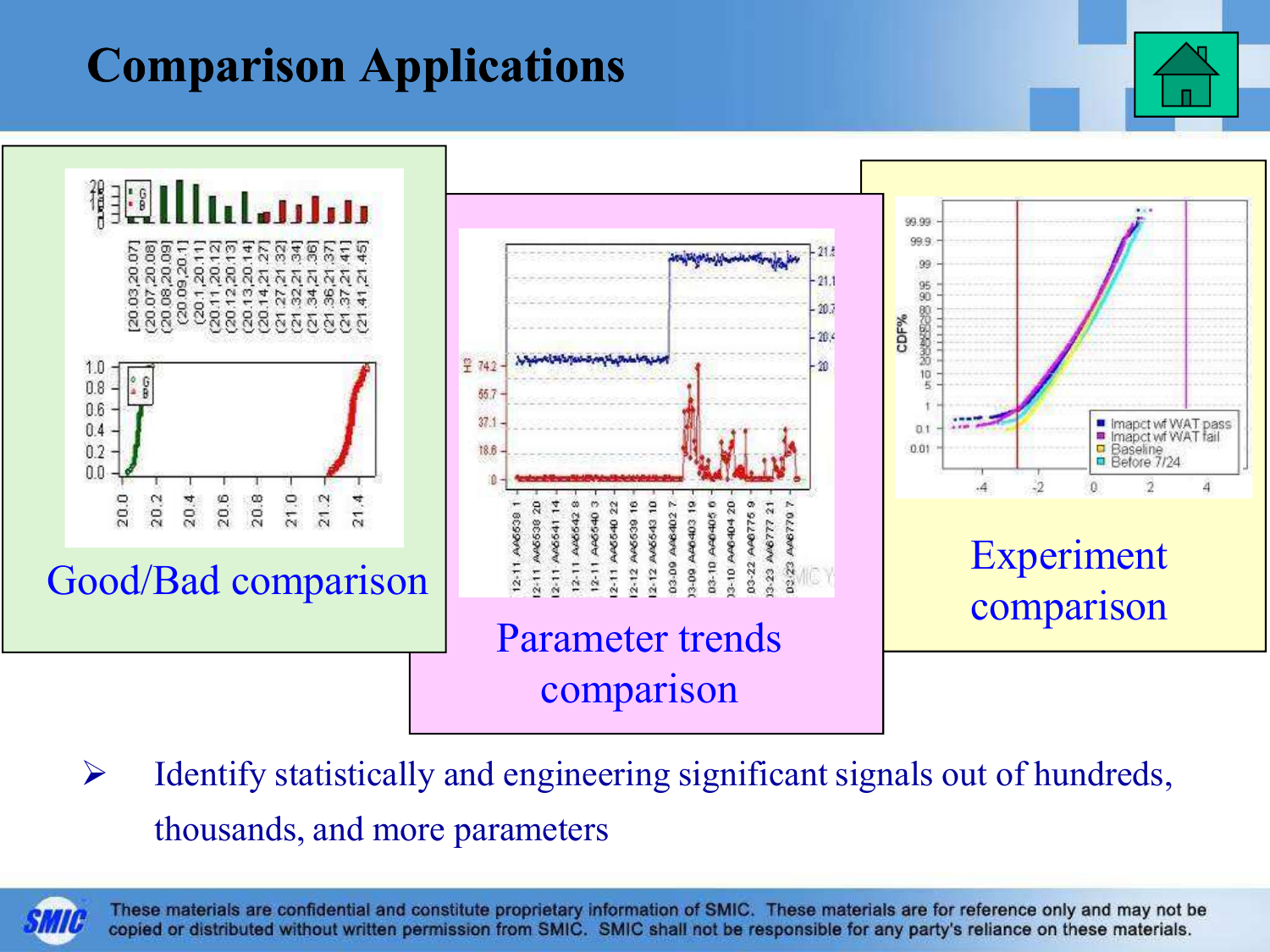### Comparison Applications



 $\blacktriangleright$  Identify statistically and engineering significant signals out of hundreds, thousands, and more parameters

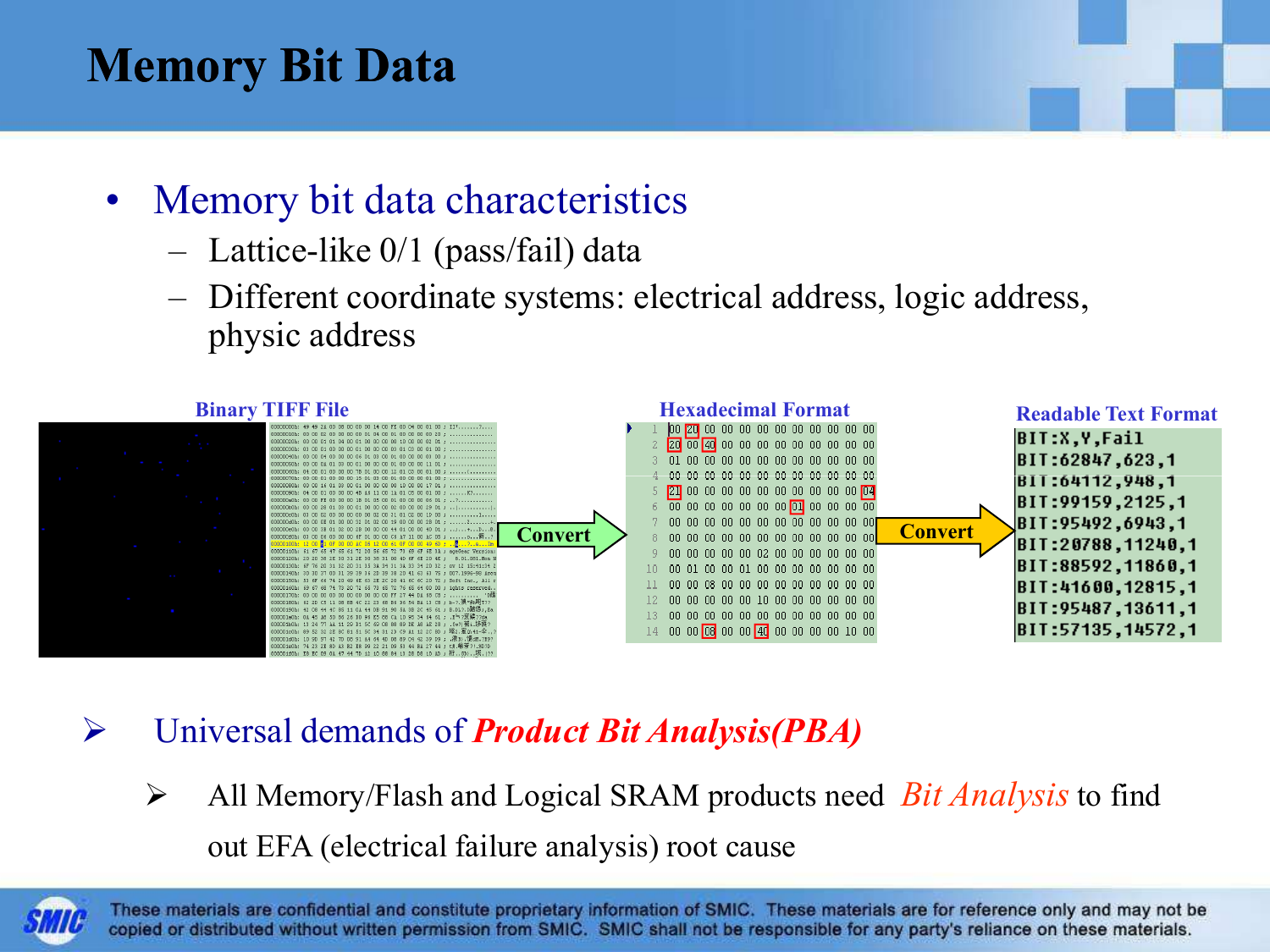#### Memory Bit Data

- $\bullet$  Memory bit data characteristics
	- –Lattice-like 0/1 (pass/fail) data
	- – Different coordinate systems: electrical address, logic address, physic address



- $\blacktriangleright$ Universal demands of **Product Bit Analysis(PBA)** 
	- $\blacktriangleright$ All Memory/Flash and Logical SRAM products need *Bit Analysis* to find out EFA (electrical failure analysis) root cause

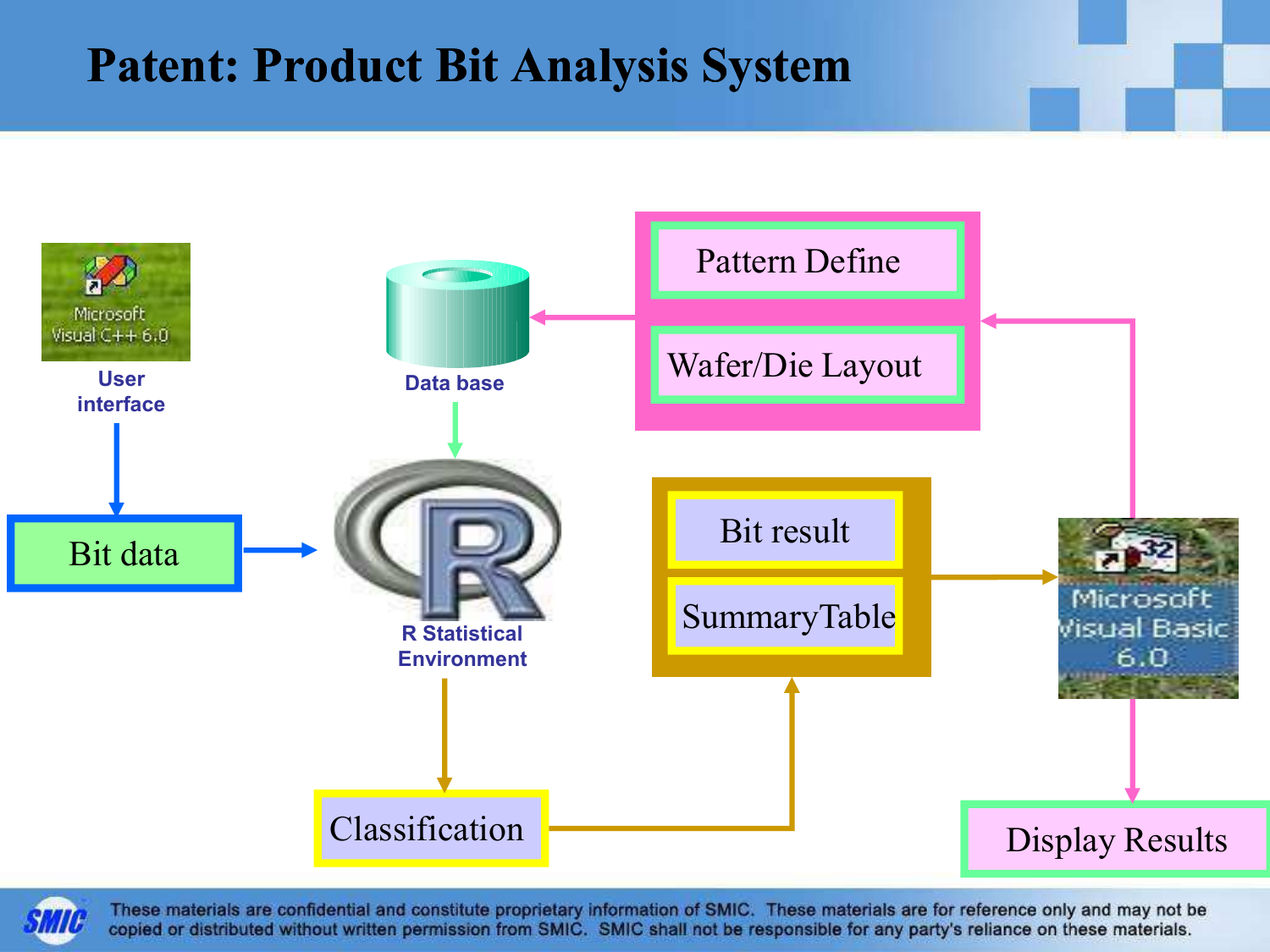#### Patent: Product Bit Analysis System



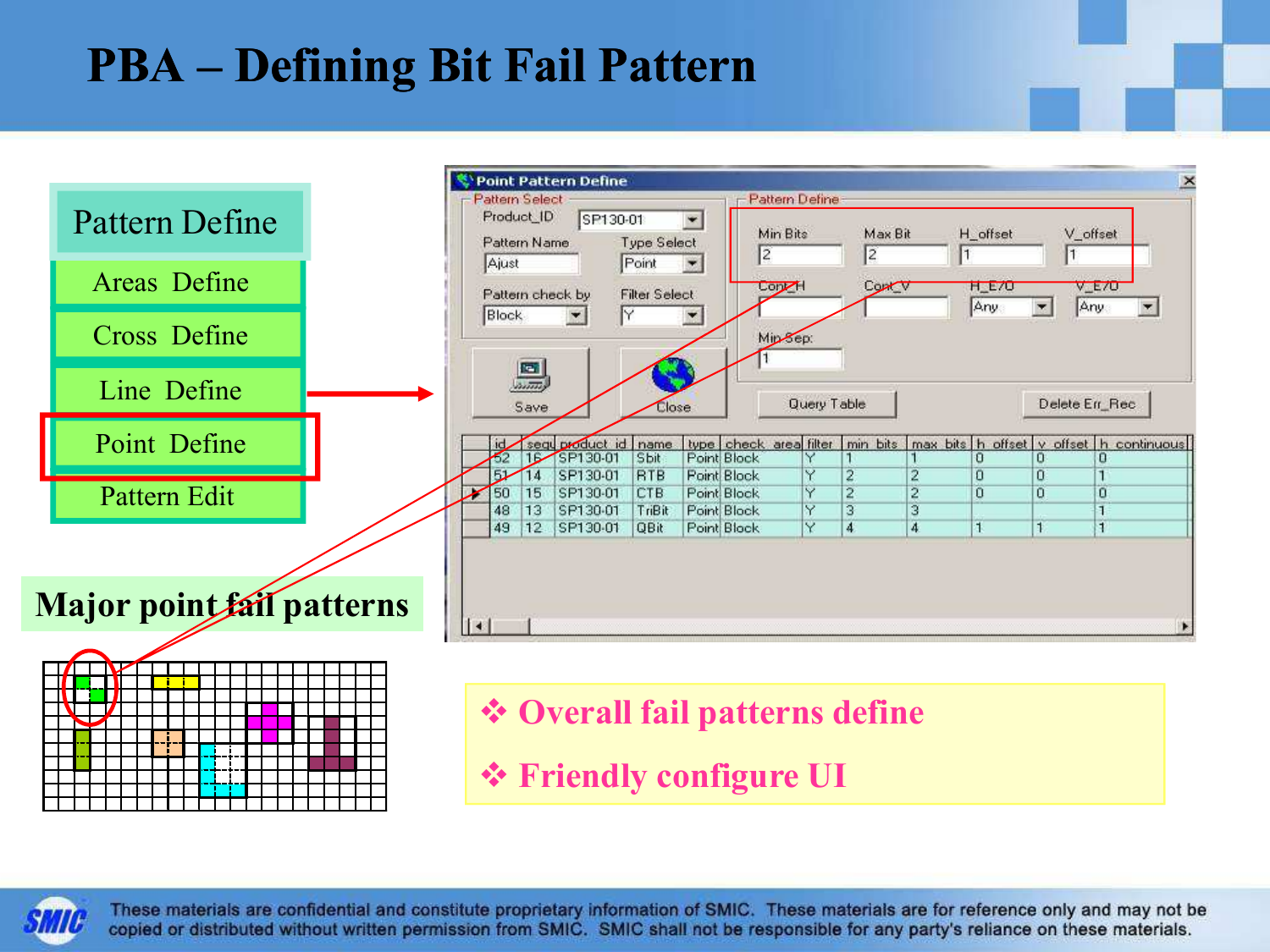#### PBA – Defining Bit Fail Pattern



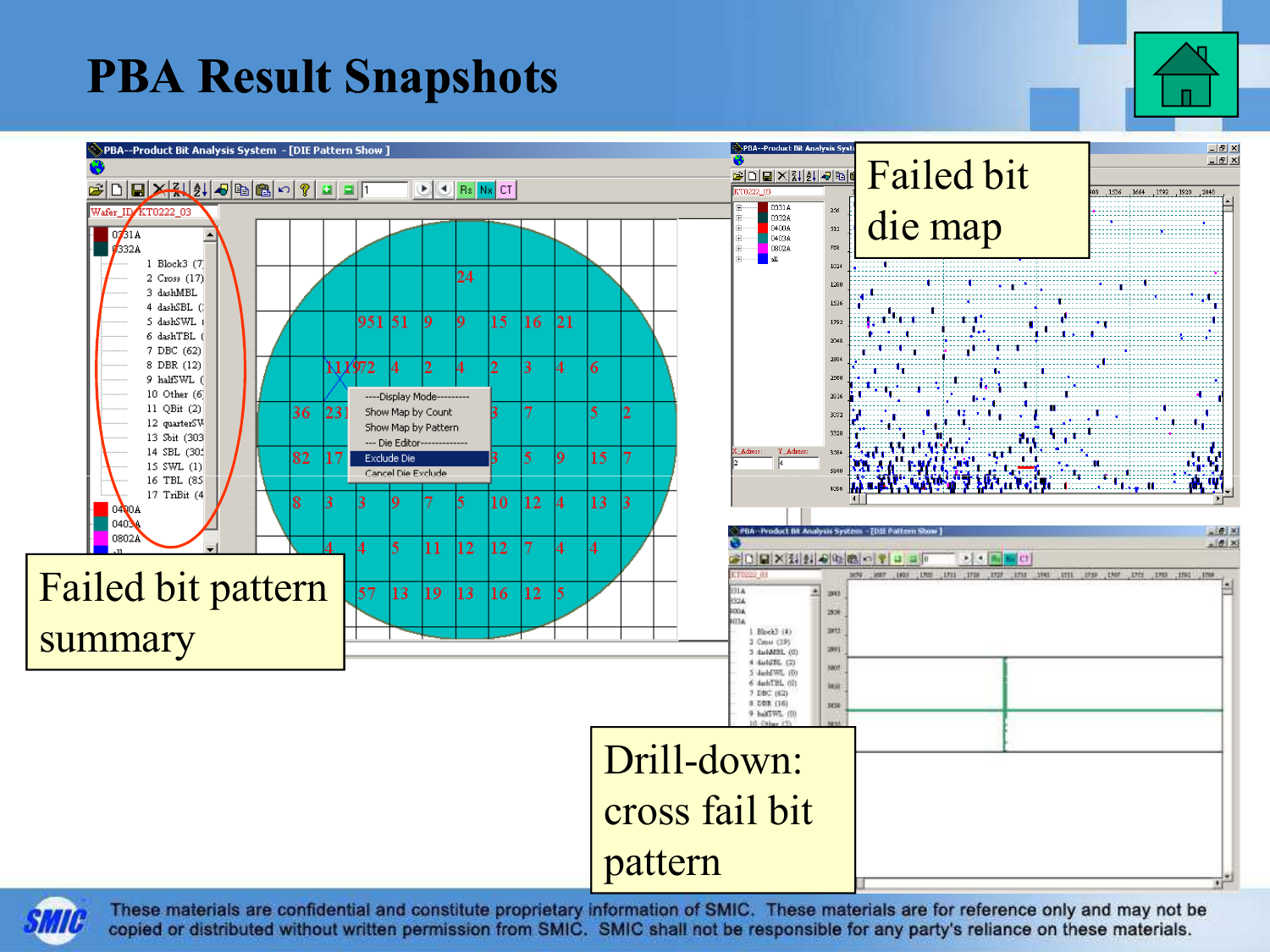#### PBA Result Snapshots



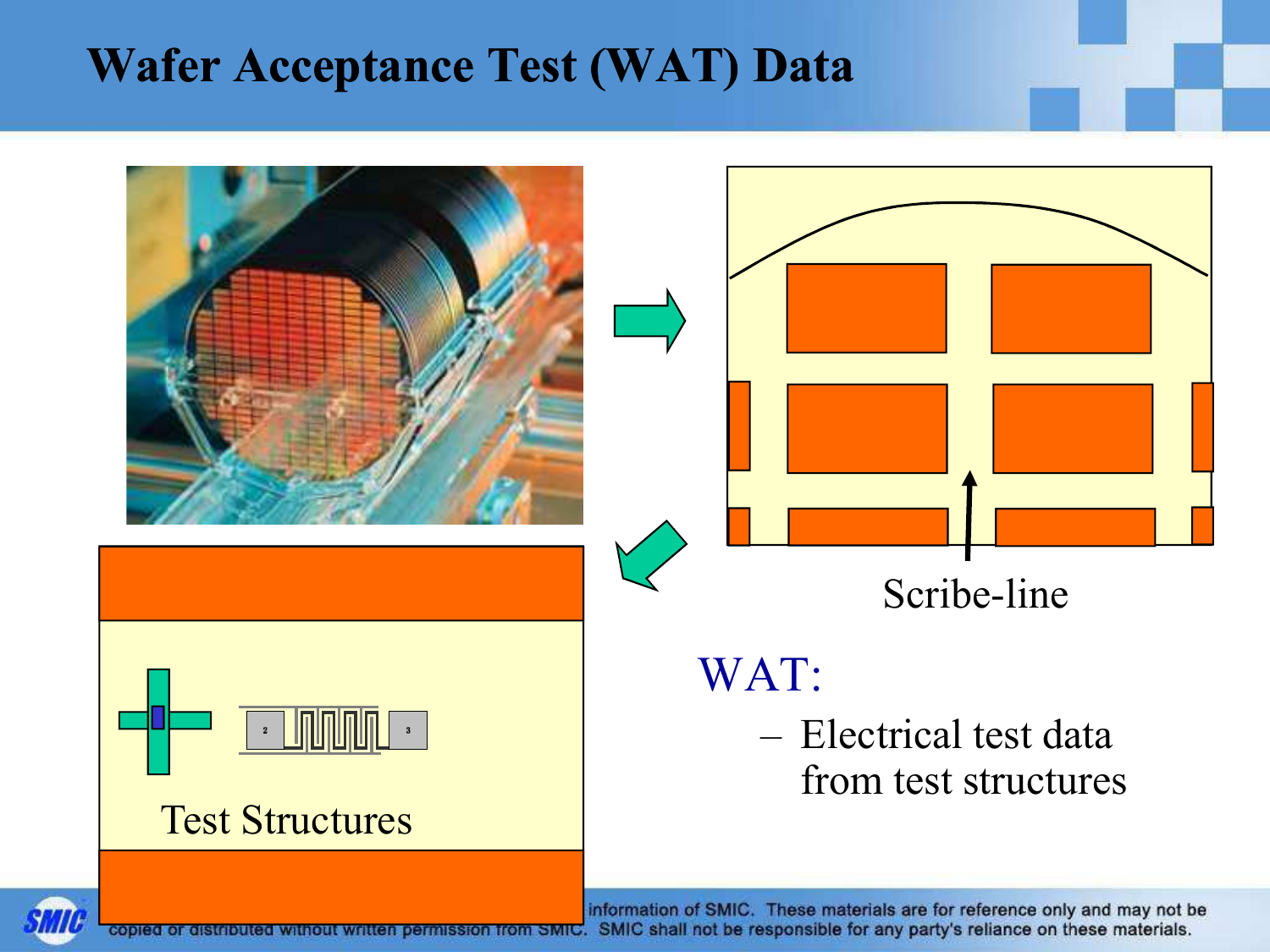#### Wafer Acceptance Test (WAT) Data



copied or distributed without written permission from SMIC. SMIC shall not be responsible for any party's reliance on these materials.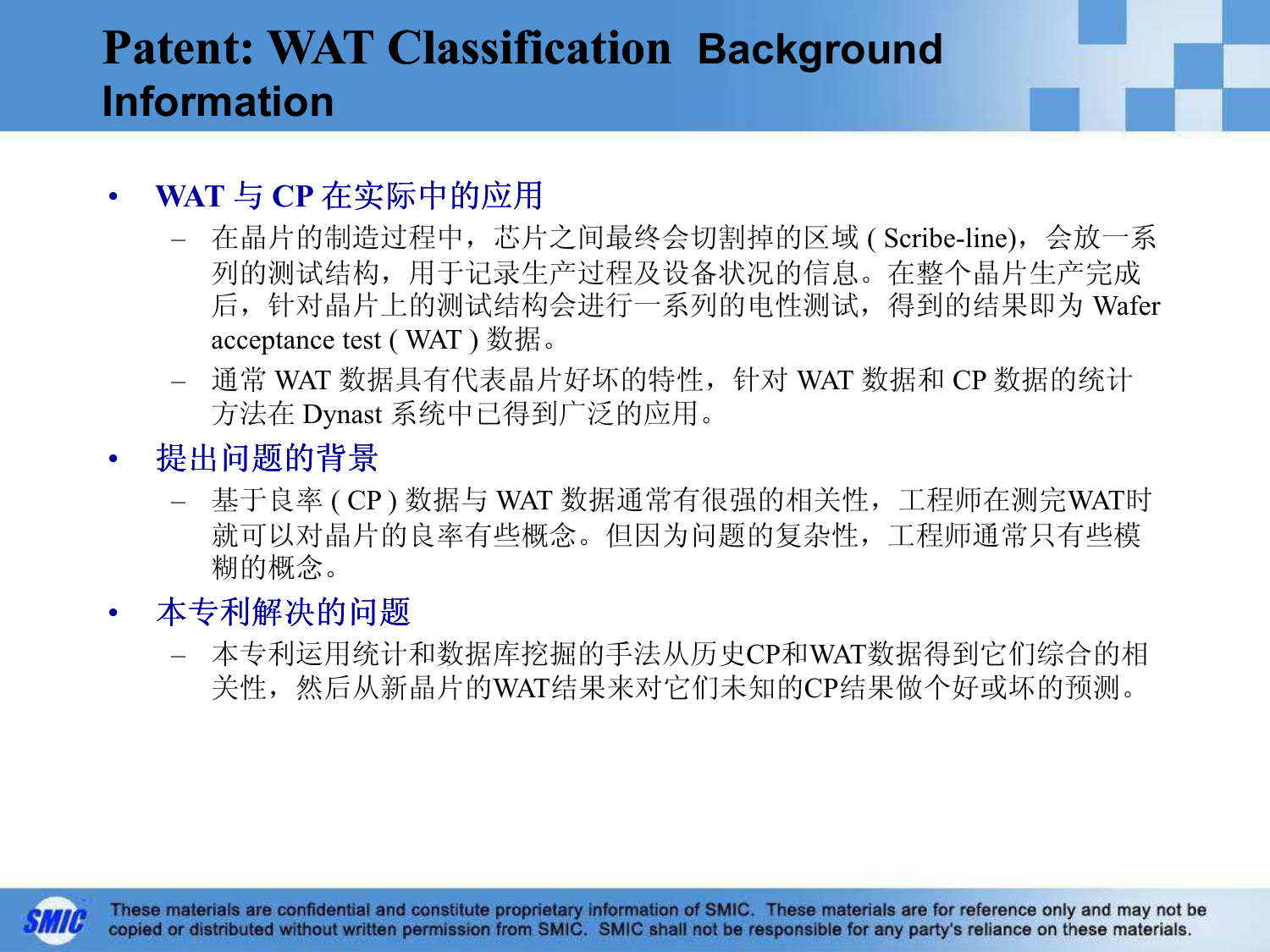#### Patent: WAT Classification Background Information

#### • $\begin{array}{ll}\text{WAT} & \text{CP} & \text{A} \\ \text{WAT} & \text{A} & \text{A} \\ \text{A} & \text{B} & \text{B} \\ \text{B} & \text{B} & \text{B} \end{array}$

- 在晶片的制造过程中,芯片之间最终会切割掉的区域 ( Scribe-line), 会放一系<br>- 列的测试结构 田干记录生产过程及设冬状况的信息 左敕全県片生产完成 列的测试结构,用于记录生产过程及设备状况的信息。在整个晶片生产完成 后,针对晶片上的测试结构会进行一系列的电性测试,得到的结果即为 Wafer acceptance test ( WAT ) 数据。
- 通常 WAT 数据具有代表晶片好坏的特性,针对 WAT 数据和 CP 数据的统计<br>——方法在 Dynast 系统中已得到广泛的应用 方法在 Dynast 系统中已得到广泛的应用。
- $\bullet$  提出问题的背景
	- 基于良率 (CP)数据与WAT数据通常有很强的相关性,工程师在测完WAT时<br>- 就可以对是片的自家有此概令,但因为问题的复杂性,工程师通常日有此横 就可以对晶片的良率有些概念。但因为问题的复杂性,工程师通常只有些模糊的概念。
- 本专利解决的问题•
	- $\cdots$   $\mapsto$   $\cdots$   $\cdots$   $\mapsto$   $\mapsto$   $\cdots$ - 本专利运用统计和数据库挖掘的手法从历史CP和WAT数据得到它们综合的相 关性,然后从新晶片的WAT结果来对它们未知的CP结果做个好或坏的预测。

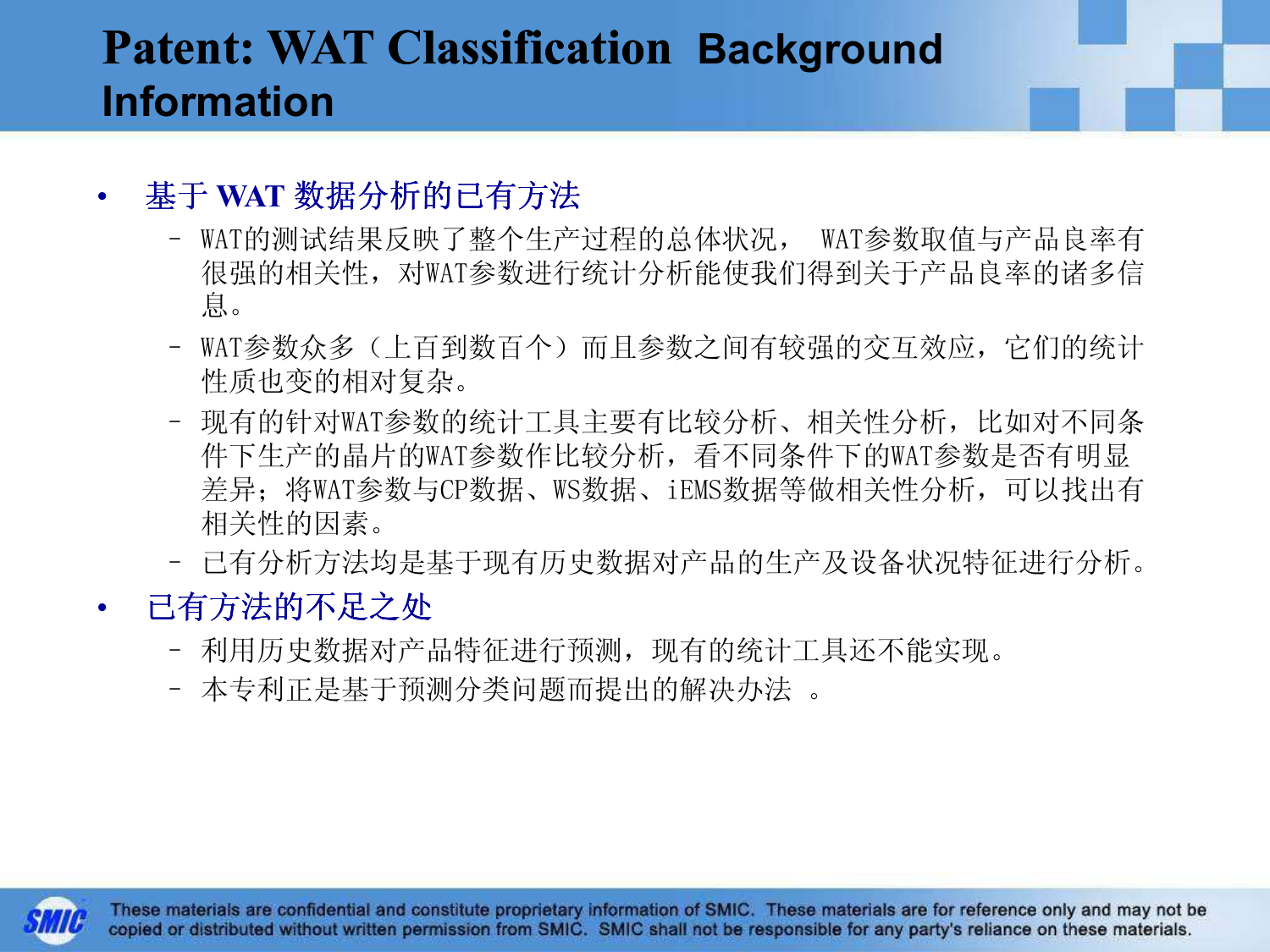#### Patent: WAT Classification Background Information

#### •• 基于 WAT 数据分析的已有方法

- WAT的测试结果反映了整个生产过程的总体状况, WAT参数取值与产品良率有 很强的相关性,对WAT参数进行统计分析能使我们得到关于产品良率的诸多信息。
- WAT参数众多(上百到数百个)而且参数之间有较强的交互效应, 它们的统计<br>性质也变的相对复杂 性质也变的相对复杂。
- 现有的针对WAT参数的统计工具主要有比较分析、相关性分析,比如对不同条<br>- 件下生产的显片的WAT参数作比较分析,看不同冬件下的WAT参数是否有明显 件下生产的晶片的WAT参数作比较分析,看不同条件下的WAT参数是否有明显 差异;将WAT参数与CP数据、WS数据、iEMS数据等做相关性分析,可以找出有相关性的因素。
- 已有分析方法均是基于现有历史数据对产品的生产及设备状况特征进行分析。
- $\bullet$  已有方法的不足之处
	- 利用历史数据对产品特征进行预测,现有的统计工具还不能实现。
	- 本专利正是基于预测分类问题而提出的解决办法 。

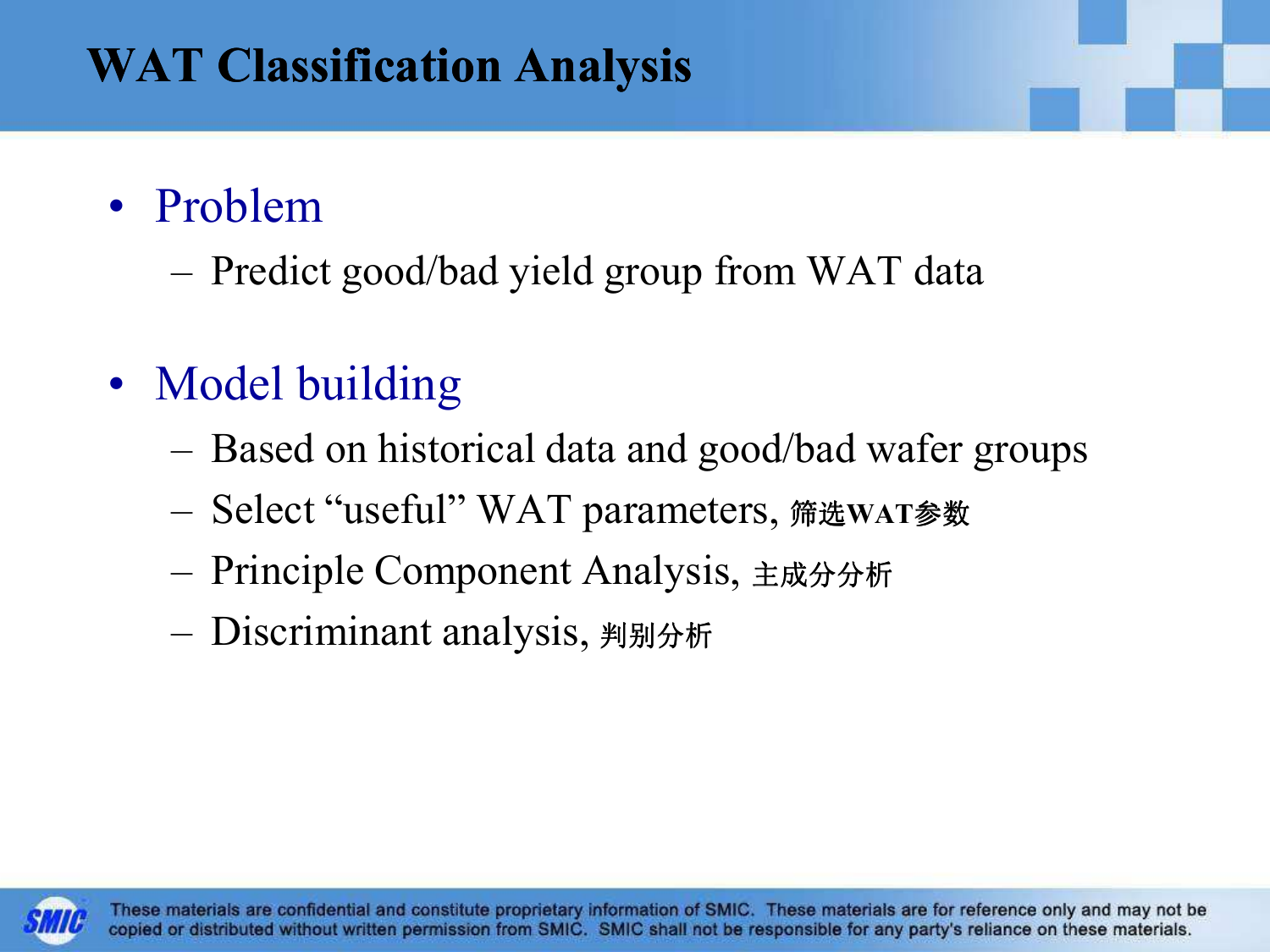#### WAT Classification Analysis

# • Problem

– Pred Predict good/bad yield group from WAT data

- Model building
	- –Based on historical data and good/bad wafer groups
	- –Select "useful" WAT parameters, 筛选WAT参数
	- –Principle Component Analysis, 主成分分析
	- –Discriminant analysis, 判别分析

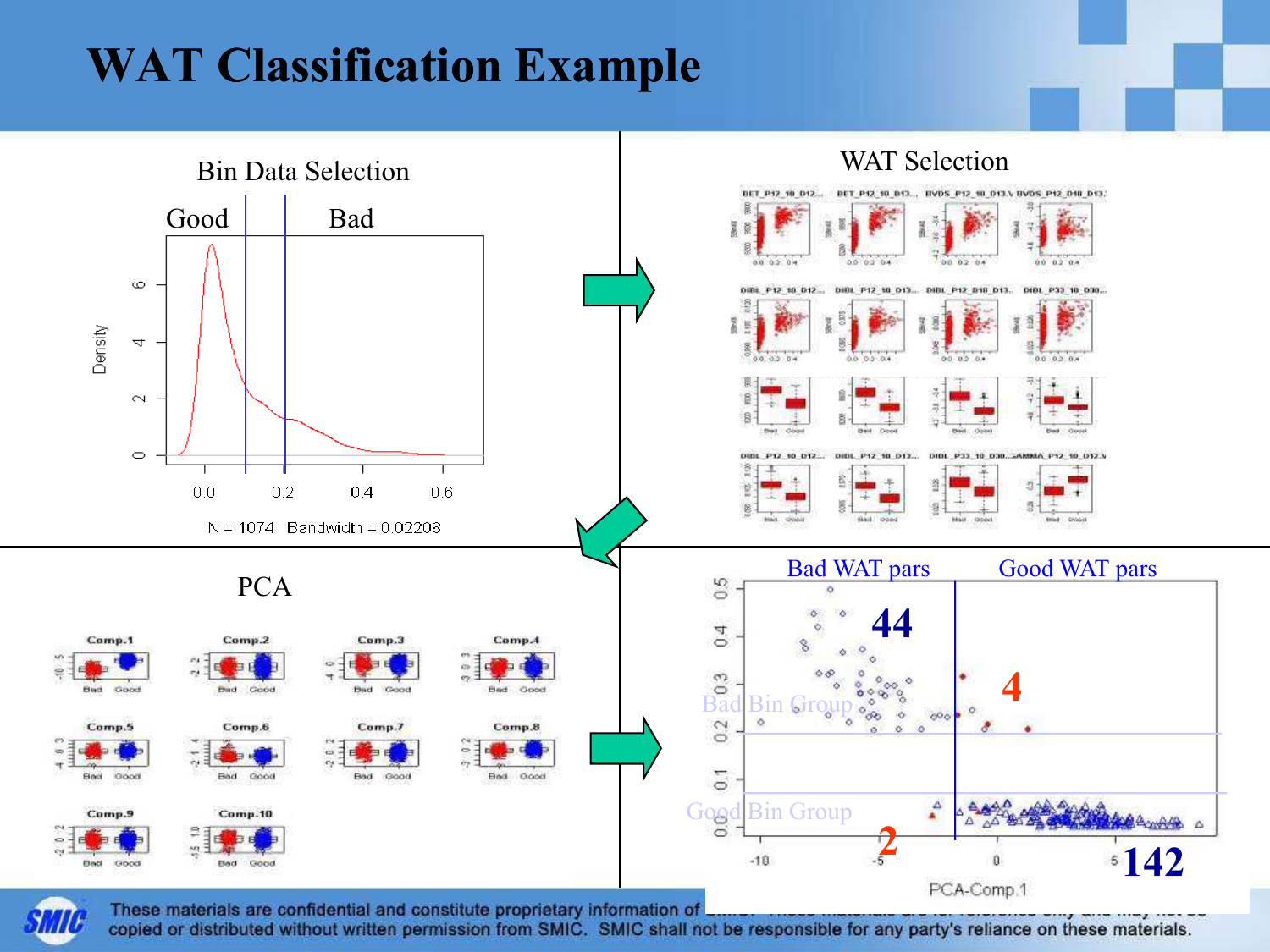#### WAT Classification Example



copied or distributed without written permission from SMIC. SMIC shall not be responsible for any party's reliance on these materials.